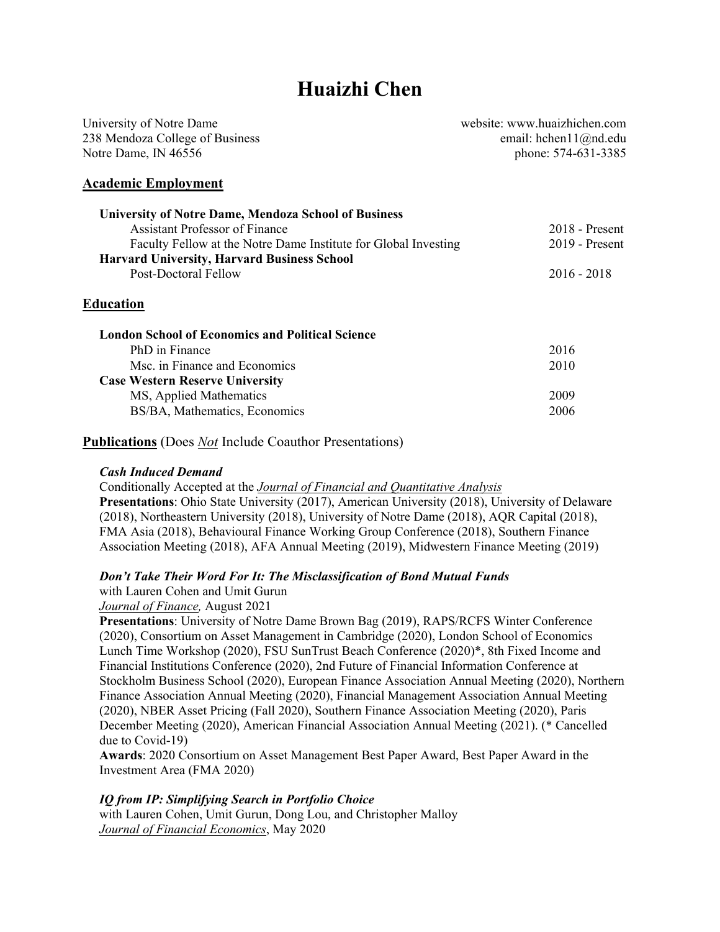# **Huaizhi Chen**

| University of Notre Dame        | website: www.huaizhichen.com        |  |
|---------------------------------|-------------------------------------|--|
| 238 Mendoza College of Business | email: hchen $11$ ( $\omega$ nd.edu |  |
| Notre Dame, IN 46556            | phone: 574-631-3385                 |  |
| <b>Academic Employment</b>      |                                     |  |

| <b>University of Notre Dame, Mendoza School of Business</b>          |                  |
|----------------------------------------------------------------------|------------------|
| Assistant Professor of Finance                                       | $2018$ - Present |
| Faculty Fellow at the Notre Dame Institute for Global Investing      | $2019$ - Present |
| <b>Harvard University, Harvard Business School</b>                   |                  |
| Post-Doctoral Fellow                                                 | $2016 - 2018$    |
| Education<br><b>London School of Economics and Political Science</b> |                  |
| PhD in Finance                                                       | 2016             |
| Msc. in Finance and Economics                                        | 2010             |
| <b>Case Western Reserve University</b>                               |                  |
| MS, Applied Mathematics                                              | 2009             |
| BS/BA, Mathematics, Economics                                        | 2006             |

**Publications** (Does *Not* Include Coauthor Presentations)

### *Cash Induced Demand*

Conditionally Accepted at the *Journal of Financial and Quantitative Analysis* **Presentations**: Ohio State University (2017), American University (2018), University of Delaware (2018), Northeastern University (2018), University of Notre Dame (2018), AQR Capital (2018), FMA Asia (2018), Behavioural Finance Working Group Conference (2018), Southern Finance Association Meeting (2018), AFA Annual Meeting (2019), Midwestern Finance Meeting (2019)

### *Don't Take Their Word For It: The Misclassification of Bond Mutual Funds*

with Lauren Cohen and Umit Gurun

### *Journal of Finance,* August 2021

**Presentations**: University of Notre Dame Brown Bag (2019), RAPS/RCFS Winter Conference (2020), Consortium on Asset Management in Cambridge (2020), London School of Economics Lunch Time Workshop (2020), FSU SunTrust Beach Conference (2020)\*, 8th Fixed Income and Financial Institutions Conference (2020), 2nd Future of Financial Information Conference at Stockholm Business School (2020), European Finance Association Annual Meeting (2020), Northern Finance Association Annual Meeting (2020), Financial Management Association Annual Meeting (2020), NBER Asset Pricing (Fall 2020), Southern Finance Association Meeting (2020), Paris December Meeting (2020), American Financial Association Annual Meeting (2021). (\* Cancelled due to Covid-19)

**Awards**: 2020 Consortium on Asset Management Best Paper Award, Best Paper Award in the Investment Area (FMA 2020)

### *IQ from IP: Simplifying Search in Portfolio Choice*

with Lauren Cohen, Umit Gurun, Dong Lou, and Christopher Malloy *Journal of Financial Economics*, May 2020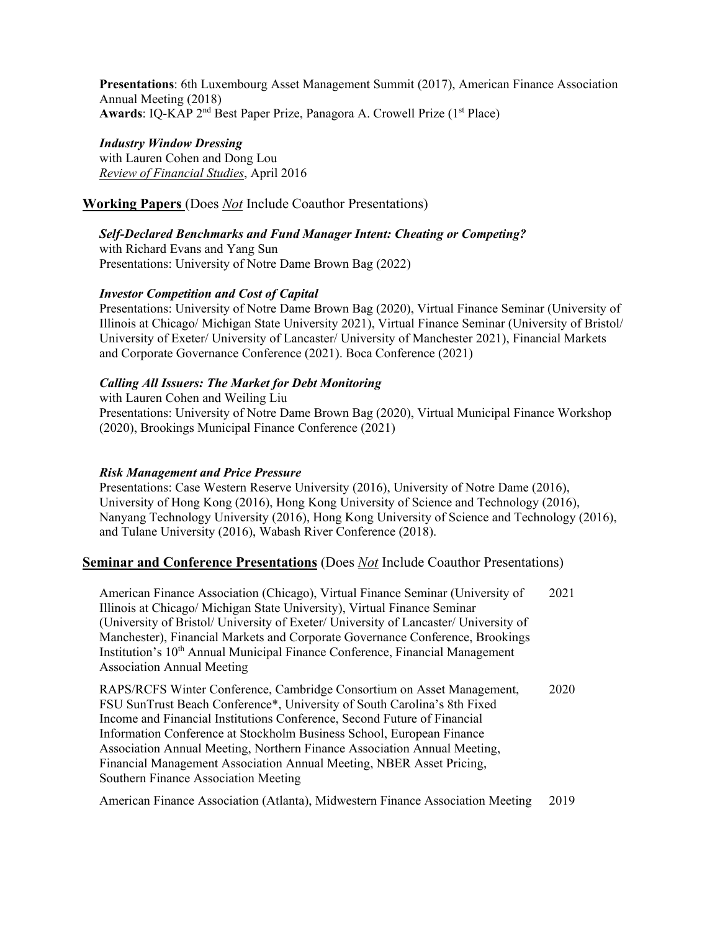**Presentations**: 6th Luxembourg Asset Management Summit (2017), American Finance Association Annual Meeting (2018) Awards: IQ-KAP 2<sup>nd</sup> Best Paper Prize, Panagora A. Crowell Prize (1<sup>st</sup> Place)

# *Industry Window Dressing*

with Lauren Cohen and Dong Lou *Review of Financial Studies*, April 2016

## **Working Papers** (Does *Not* Include Coauthor Presentations)

*Self-Declared Benchmarks and Fund Manager Intent: Cheating or Competing?*

with Richard Evans and Yang Sun Presentations: University of Notre Dame Brown Bag (2022)

## *Investor Competition and Cost of Capital*

Presentations: University of Notre Dame Brown Bag (2020), Virtual Finance Seminar (University of Illinois at Chicago/ Michigan State University 2021), Virtual Finance Seminar (University of Bristol/ University of Exeter/ University of Lancaster/ University of Manchester 2021), Financial Markets and Corporate Governance Conference (2021). Boca Conference (2021)

## *Calling All Issuers: The Market for Debt Monitoring*

with Lauren Cohen and Weiling Liu Presentations: University of Notre Dame Brown Bag (2020), Virtual Municipal Finance Workshop (2020), Brookings Municipal Finance Conference (2021)

## *Risk Management and Price Pressure*

Presentations: Case Western Reserve University (2016), University of Notre Dame (2016), University of Hong Kong (2016), Hong Kong University of Science and Technology (2016), Nanyang Technology University (2016), Hong Kong University of Science and Technology (2016), and Tulane University (2016), Wabash River Conference (2018).

# **Seminar and Conference Presentations** (Does *Not* Include Coauthor Presentations)

American Finance Association (Chicago), Virtual Finance Seminar (University of Illinois at Chicago/ Michigan State University), Virtual Finance Seminar (University of Bristol/ University of Exeter/ University of Lancaster/ University of Manchester), Financial Markets and Corporate Governance Conference, Brookings Institution's 10<sup>th</sup> Annual Municipal Finance Conference, Financial Management Association Annual Meeting 2021

RAPS/RCFS Winter Conference, Cambridge Consortium on Asset Management, FSU SunTrust Beach Conference\*, University of South Carolina's 8th Fixed Income and Financial Institutions Conference, Second Future of Financial Information Conference at Stockholm Business School, European Finance Association Annual Meeting, Northern Finance Association Annual Meeting, Financial Management Association Annual Meeting, NBER Asset Pricing, Southern Finance Association Meeting 2020

American Finance Association (Atlanta), Midwestern Finance Association Meeting 2019